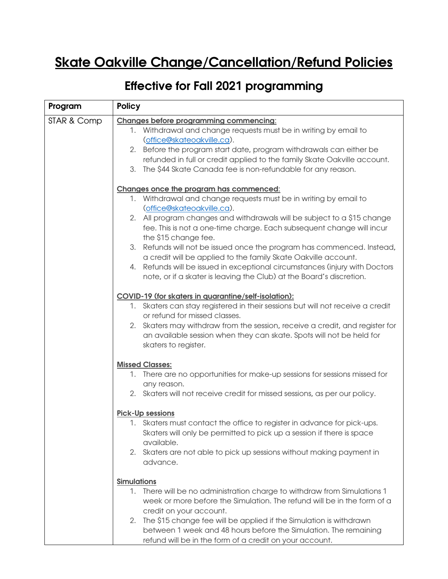## Skate Oakville Change/Cancellation/Refund Policies

## Effective for Fall 2021 programming

| Program     | <b>Policy</b>                                                                                                                                                                                                                                                                                                                                                                                                                                                                                                  |
|-------------|----------------------------------------------------------------------------------------------------------------------------------------------------------------------------------------------------------------------------------------------------------------------------------------------------------------------------------------------------------------------------------------------------------------------------------------------------------------------------------------------------------------|
| STAR & Comp | <b>Changes before programming commencing:</b><br>1. Withdrawal and change requests must be in writing by email to<br>(office@skateoakville.ca).<br>2. Before the program start date, program withdrawals can either be<br>refunded in full or credit applied to the family Skate Oakville account.<br>3.<br>The \$44 Skate Canada fee is non-refundable for any reason.                                                                                                                                        |
|             | Changes once the program has commenced:<br>1. Withdrawal and change requests must be in writing by email to<br>(office@skateoakville.ca).<br>2. All program changes and withdrawals will be subject to a \$15 change<br>fee. This is not a one-time charge. Each subsequent change will incur<br>the \$15 change fee.<br>3. Refunds will not be issued once the program has commenced. Instead,<br>a credit will be applied to the family Skate Oakville account.                                              |
|             | 4. Refunds will be issued in exceptional circumstances (injury with Doctors<br>note, or if a skater is leaving the Club) at the Board's discretion.<br>COVID-19 (for skaters in quarantine/self-isolation):<br>1. Skaters can stay registered in their sessions but will not receive a credit<br>or refund for missed classes.<br>2. Skaters may withdraw from the session, receive a credit, and register for<br>an available session when they can skate. Spots will not be held for<br>skaters to register. |
|             | <b>Missed Classes:</b><br>1. There are no opportunities for make-up sessions for sessions missed for<br>any reason.<br>2. Skaters will not receive credit for missed sessions, as per our policy.<br><b>Pick-Up sessions</b><br>1. Skaters must contact the office to register in advance for pick-ups.<br>Skaters will only be permitted to pick up a session if there is space<br>available.<br>2. Skaters are not able to pick up sessions without making payment in<br>advance.                            |
|             | <b>Simulations</b><br>1. There will be no administration charge to withdraw from Simulations 1<br>week or more before the Simulation. The refund will be in the form of a<br>credit on your account.<br>The \$15 change fee will be applied if the Simulation is withdrawn<br>2.<br>between 1 week and 48 hours before the Simulation. The remaining<br>refund will be in the form of a credit on your account.                                                                                                |